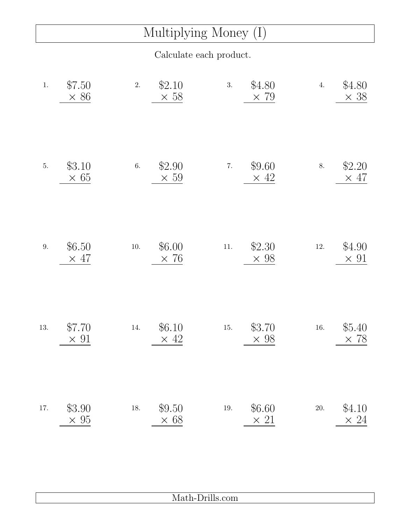## Multiplying Money (I)

Calculate each product.

| $1.$    | \$7.50<br>$\times 86$ | 2.       | \$2.10<br>$\times$ 58 | 3.       | \$4.80<br>$\times 79$ | 4.       | \$4.80<br>$\times$ 38 |
|---------|-----------------------|----------|-----------------------|----------|-----------------------|----------|-----------------------|
| $5. \,$ | \$3.10<br>$\times 65$ | 6.       | \$2.90<br>$\times 59$ | $7. \,$  | \$9.60<br>$\times$ 42 | 8.       | \$2.20<br>$\times$ 47 |
| $9. \,$ | \$6.50<br>$\times$ 47 | $10. \,$ | \$6.00<br>$\times 76$ | $11. \,$ | \$2.30<br>$\times$ 98 | $12. \,$ | \$4.90<br>$\times$ 91 |
| 13.     | \$7.70<br>$\times$ 91 | 14.      | \$6.10<br>$\times$ 42 | $15. \,$ | \$3.70<br>$\times$ 98 | $16. \,$ | \$5.40<br>$\times 78$ |
| 17.     | \$3.90<br>$\times$ 95 | $18. \,$ | \$9.50<br>$\times$ 68 | $19. \,$ | \$6.60<br>$\times$ 21 | $20. \,$ | \$4.10<br>$\times$ 24 |